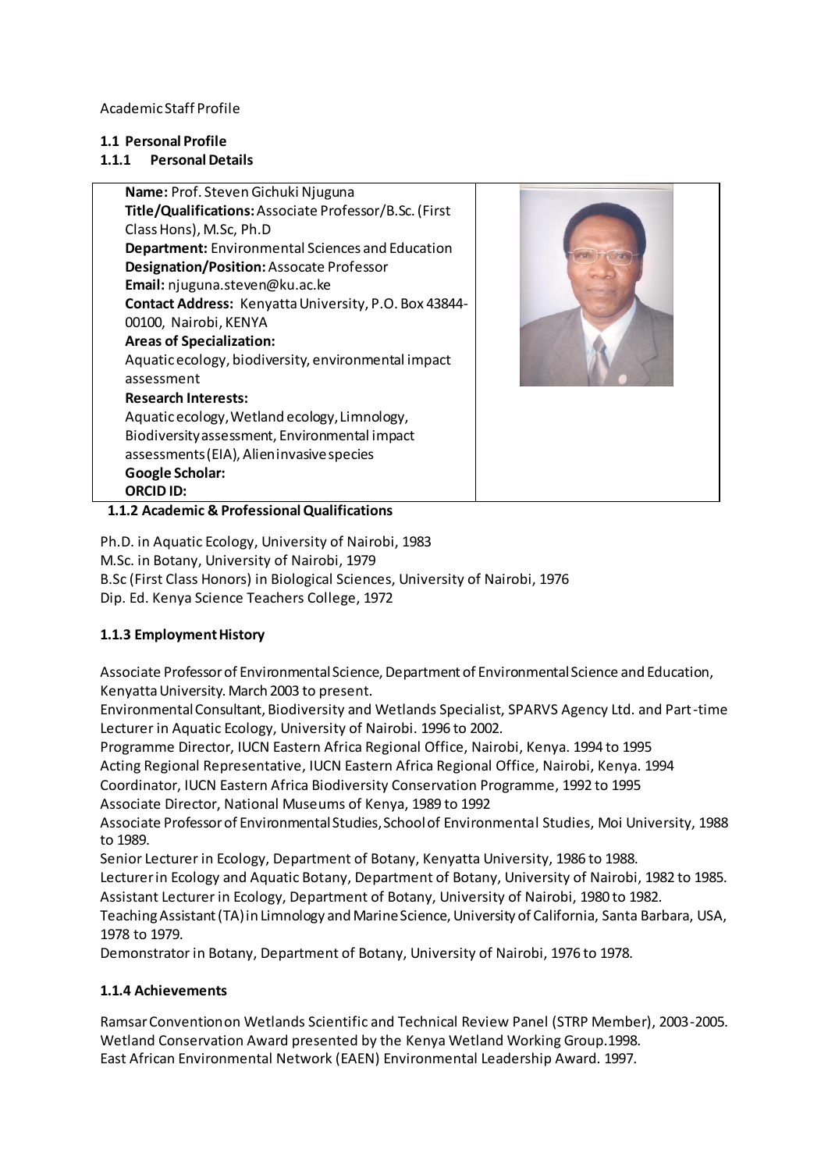Academic Staff Profile

## **1.1 Personal Profile**

# **1.1.1 Personal Details**

**Name:** Prof. StevenGichuki Njuguna **Title/Qualifications:**Associate Professor/B.Sc. (First Class Hons), M.Sc, Ph.D **Department:** Environmental Sciences and Education **Designation/Position:**Assocate Professor **Email:** njuguna.steven@ku.ac.ke **Contact Address:** Kenyatta University, P.O. Box 43844- 00100, Nairobi, KENYA **Areas of Specialization:** Aquatic ecology, biodiversity, environmental impact assessment **Research Interests:** Aquatic ecology, Wetland ecology, Limnology, Biodiversity assessment, Environmental impact assessments (EIA), Alien invasive species **Google Scholar: ORCID ID:**



 **1.1.2 Academic & Professional Qualifications**

Ph.D. in Aquatic Ecology, University of Nairobi, 1983 M.Sc. in Botany, University of Nairobi, 1979 B.Sc (First Class Honors) in Biological Sciences, University of Nairobi, 1976 Dip. Ed. Kenya Science Teachers College, 1972

# **1.1.3 Employment History**

Associate Professor of Environmental Science, Department of Environmental Science and Education, Kenyatta University. March 2003 to present.

Environmental Consultant, Biodiversity and Wetlands Specialist, SPARVS Agency Ltd. and Part-time Lecturer in Aquatic Ecology, University of Nairobi. 1996 to 2002.

Programme Director, IUCN Eastern Africa Regional Office, Nairobi, Kenya. 1994 to 1995 Acting Regional Representative, IUCN Eastern Africa Regional Office, Nairobi, Kenya. 1994 Coordinator, IUCN Eastern Africa Biodiversity Conservation Programme, 1992 to 1995

Associate Director, National Museums of Kenya, 1989 to 1992

Associate Professor of Environmental Studies, School of Environmental Studies, Moi University, 1988 to 1989.

Senior Lecturer in Ecology, Department of Botany, Kenyatta University, 1986 to 1988.

Lecturer in Ecology and Aquatic Botany, Department of Botany, University of Nairobi, 1982 to 1985. Assistant Lecturer in Ecology, Department of Botany, University of Nairobi, 1980 to 1982.

Teaching Assistant (TA) in Limnology and Marine Science, University of California, Santa Barbara, USA, 1978 to 1979.

Demonstrator in Botany, Department of Botany, University of Nairobi, 1976 to 1978.

# **1.1.4 Achievements**

Ramsar Convention on Wetlands Scientific and Technical Review Panel (STRP Member), 2003-2005. Wetland Conservation Award presented by the Kenya Wetland Working Group.1998. East African Environmental Network (EAEN) Environmental Leadership Award. 1997.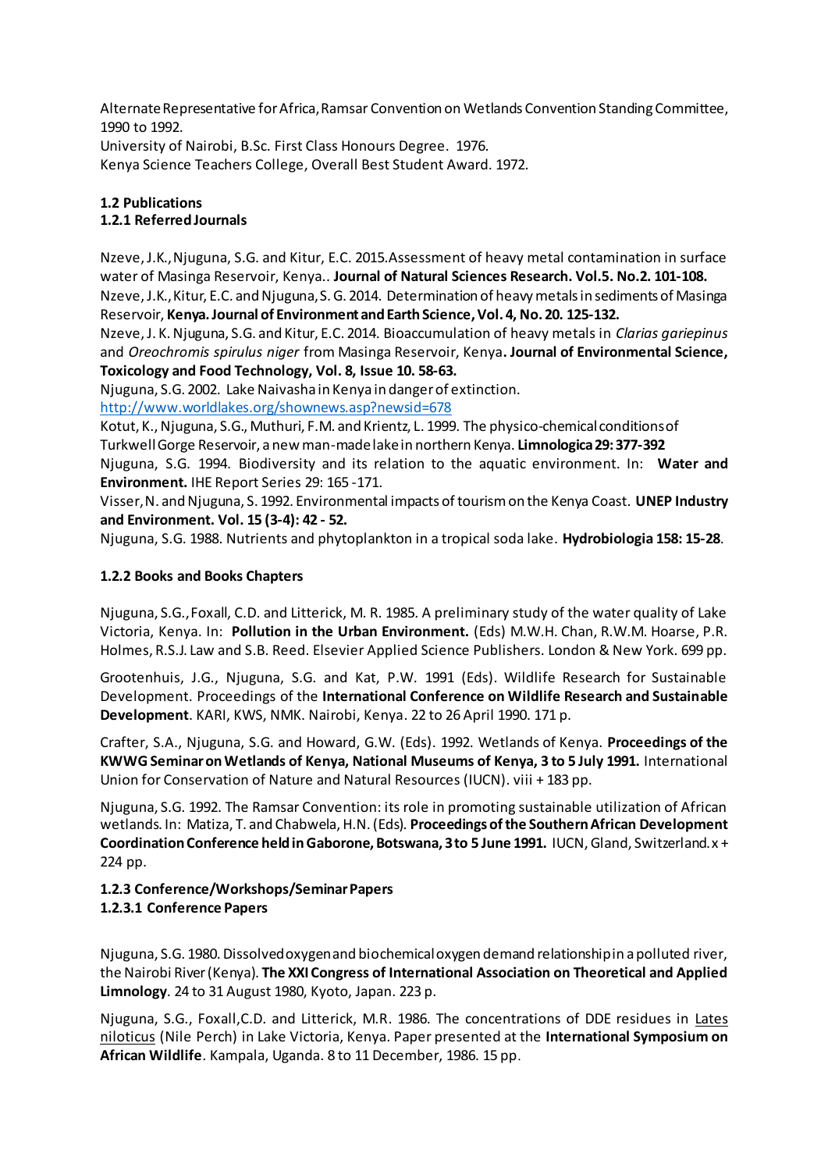Alternate Representative for Africa, Ramsar Convention on Wetlands Convention Standing Committee, 1990 to 1992.

University of Nairobi, B.Sc. First Class Honours Degree. 1976.

Kenya Science Teachers College, Overall Best Student Award. 1972.

# **1.2 Publications**

# **1.2.1 Referred Journals**

Nzeve, J.K., Njuguna, S.G. and Kitur, E.C. 2015.Assessment of heavy metal contamination in surface water of Masinga Reservoir, Kenya.. **Journal of Natural Sciences Research. Vol.5. No.2. 101-108.** Nzeve, J.K., Kitur, E.C. and Njuguna, S. G. 2014. Determination of heavy metals in sediments of Masinga Reservoir, **Kenya. Journal of Environment and Earth Science, Vol. 4, No. 20. 125-132.**

Nzeve, J. K. Njuguna, S.G. and Kitur, E.C. 2014. Bioaccumulation of heavy metals in *Clarias gariepinus* and *Oreochromis spirulus niger* from Masinga Reservoir, Kenya**. Journal of Environmental Science, Toxicology and Food Technology, Vol. 8, Issue 10. 58-63.**

Njuguna, S.G. 2002. Lake Naivasha in Kenya in danger of extinction.

<http://www.worldlakes.org/shownews.asp?newsid=678>

Kotut, K., Njuguna, S.G., Muthuri, F.M. and Krientz, L. 1999. The physico-chemical conditions of Turkwell Gorge Reservoir, a new man-made lake in northern Kenya. **Limnologica 29: 377-392**

Njuguna, S.G. 1994. Biodiversity and its relation to the aquatic environment. In: **Water and Environment.** IHE Report Series 29: 165 -171.

Visser, N. and Njuguna, S. 1992. Environmental impacts of tourism on the Kenya Coast. **UNEP Industry and Environment. Vol. 15 (3-4): 42 - 52.**

Njuguna, S.G. 1988. Nutrients and phytoplankton in a tropical soda lake. **Hydrobiologia 158: 15-28**.

## **1.2.2 Books and Books Chapters**

Njuguna, S.G., Foxall, C.D. and Litterick, M. R. 1985. A preliminary study of the water quality of Lake Victoria, Kenya. In: **Pollution in the Urban Environment.** (Eds) M.W.H. Chan, R.W.M. Hoarse, P.R. Holmes, R.S.J. Law and S.B. Reed. Elsevier Applied Science Publishers. London & New York. 699 pp.

Grootenhuis, J.G., Njuguna, S.G. and Kat, P.W. 1991 (Eds). Wildlife Research for Sustainable Development. Proceedings of the **International Conference on Wildlife Research and Sustainable Development**. KARI, KWS, NMK. Nairobi, Kenya. 22 to 26 April 1990. 171 p.

Crafter, S.A., Njuguna, S.G. and Howard, G.W. (Eds). 1992. Wetlands of Kenya. **Proceedings of the KWWG Seminar on Wetlands of Kenya, National Museums of Kenya, 3 to 5 July 1991.** International Union for Conservation of Nature and Natural Resources (IUCN). viii + 183 pp.

Njuguna, S.G. 1992. The Ramsar Convention: its role in promoting sustainable utilization of African wetlands. In: Matiza, T. and Chabwela, H.N. (Eds). **Proceedings of the Southern African Development Coordination Conference held in Gaborone, Botswana, 3 to 5 June 1991.** IUCN, Gland, Switzerland. x + 224 pp.

## **1.2.3 Conference/Workshops/Seminar Papers 1.2.3.1 Conference Papers**

Njuguna, S.G. 1980. Dissolved oxygen and biochemical oxygen demand relationship in a polluted river, the Nairobi River (Kenya). **The XXI Congress of International Association on Theoretical and Applied Limnology**. 24 to 31 August 1980, Kyoto, Japan. 223 p.

Njuguna, S.G., Foxall,C.D. and Litterick, M.R. 1986. The concentrations of DDE residues in Lates niloticus (Nile Perch) in Lake Victoria, Kenya. Paper presented at the **International Symposium on African Wildlife**. Kampala, Uganda. 8 to 11 December, 1986. 15 pp.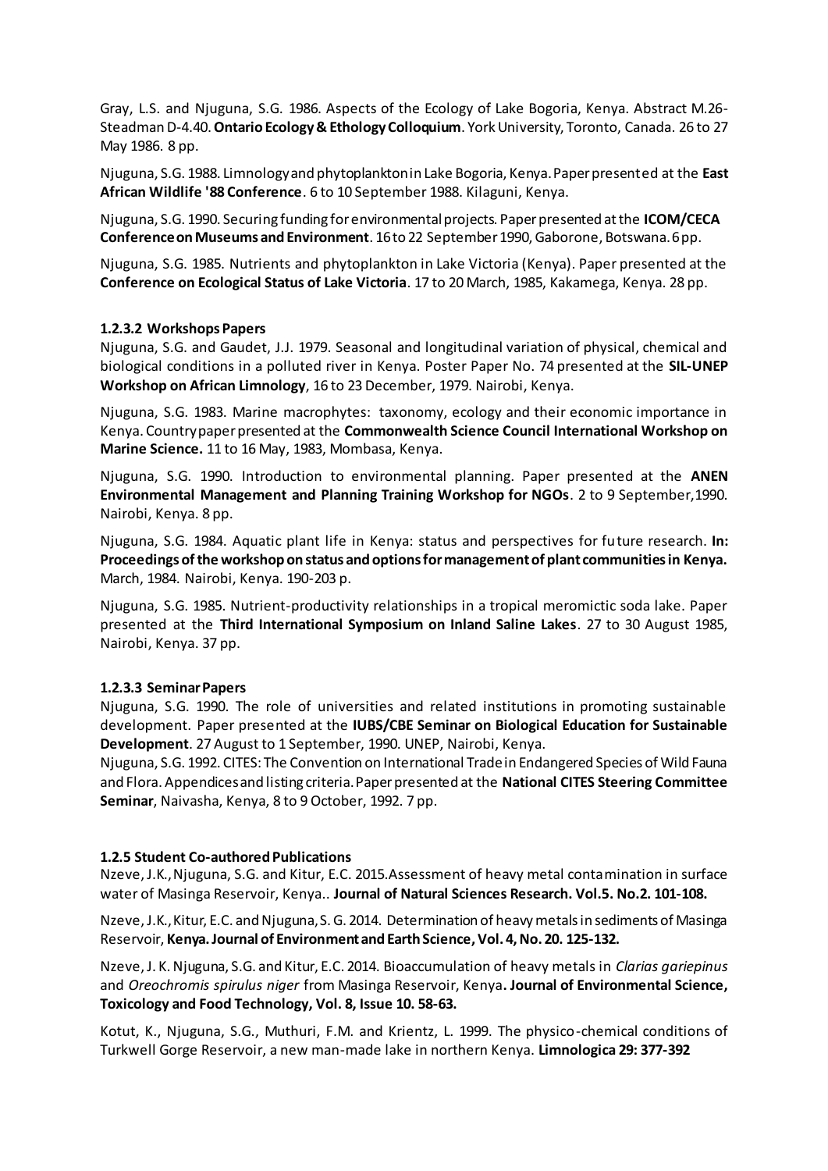Gray, L.S. and Njuguna, S.G. 1986. Aspects of the Ecology of Lake Bogoria, Kenya. Abstract M.26- Steadman D-4.40. **Ontario Ecology & Ethology Colloquium**. York University, Toronto, Canada. 26 to 27 May 1986. 8 pp.

Njuguna, S.G. 1988. Limnology and phytoplankton in Lake Bogoria, Kenya. Paper presented at the **East African Wildlife '88 Conference**. 6 to 10 September 1988. Kilaguni, Kenya.

Njuguna, S.G. 1990. Securing funding for environmental projects. Paper presented at the **ICOM/CECA Conference on Museums and Environment**. 16 to 22 September 1990, Gaborone, Botswana. 6 pp.

Njuguna, S.G. 1985. Nutrients and phytoplankton in Lake Victoria (Kenya). Paper presented at the **Conference on Ecological Status of Lake Victoria**. 17 to 20 March, 1985, Kakamega, Kenya. 28 pp.

#### **1.2.3.2 Workshops Papers**

Njuguna, S.G. and Gaudet, J.J. 1979. Seasonal and longitudinal variation of physical, chemical and biological conditions in a polluted river in Kenya. Poster Paper No. 74 presented at the **SIL-UNEP Workshop on African Limnology**, 16 to 23 December, 1979. Nairobi, Kenya.

Njuguna, S.G. 1983. Marine macrophytes: taxonomy, ecology and their economic importance in Kenya. Country paper presented at the **Commonwealth Science Council International Workshop on Marine Science.** 11 to 16 May, 1983, Mombasa, Kenya.

Njuguna, S.G. 1990. Introduction to environmental planning. Paper presented at the **ANEN Environmental Management and Planning Training Workshop for NGOs**. 2 to 9 September,1990. Nairobi, Kenya. 8 pp.

Njuguna, S.G. 1984. Aquatic plant life in Kenya: status and perspectives for future research. **In: Proceedings of the workshop on status and options for management of plant communities in Kenya.** March, 1984. Nairobi, Kenya. 190-203 p.

Njuguna, S.G. 1985. Nutrient-productivity relationships in a tropical meromictic soda lake. Paper presented at the **Third International Symposium on Inland Saline Lakes**. 27 to 30 August 1985, Nairobi, Kenya. 37 pp.

#### **1.2.3.3 Seminar Papers**

Njuguna, S.G. 1990. The role of universities and related institutions in promoting sustainable development. Paper presented at the **IUBS/CBE Seminar on Biological Education for Sustainable Development**. 27 August to 1 September, 1990. UNEP, Nairobi, Kenya.

Njuguna, S.G. 1992. CITES: The Convention on International Trade in Endangered Species of Wild Fauna and Flora. Appendices and listing criteria. Paper presented at the **National CITES Steering Committee Seminar**, Naivasha, Kenya, 8 to 9 October, 1992. 7 pp.

#### **1.2.5 Student Co-authored Publications**

Nzeve, J.K., Njuguna, S.G. and Kitur, E.C. 2015.Assessment of heavy metal contamination in surface water of Masinga Reservoir, Kenya.. **Journal of Natural Sciences Research. Vol.5. No.2. 101-108.**

Nzeve, J.K., Kitur, E.C. and Njuguna, S. G. 2014. Determination of heavy metals in sediments of Masinga Reservoir, **Kenya. Journal of Environment and Earth Science, Vol. 4, No. 20. 125-132.**

Nzeve, J. K. Njuguna, S.G. and Kitur, E.C. 2014. Bioaccumulation of heavy metals in *Clarias gariepinus* and *Oreochromis spirulus niger* from Masinga Reservoir, Kenya**. Journal of Environmental Science, Toxicology and Food Technology, Vol. 8, Issue 10. 58-63.**

Kotut, K., Njuguna, S.G., Muthuri, F.M. and Krientz, L. 1999. The physico-chemical conditions of Turkwell Gorge Reservoir, a new man-made lake in northern Kenya. **Limnologica 29: 377-392**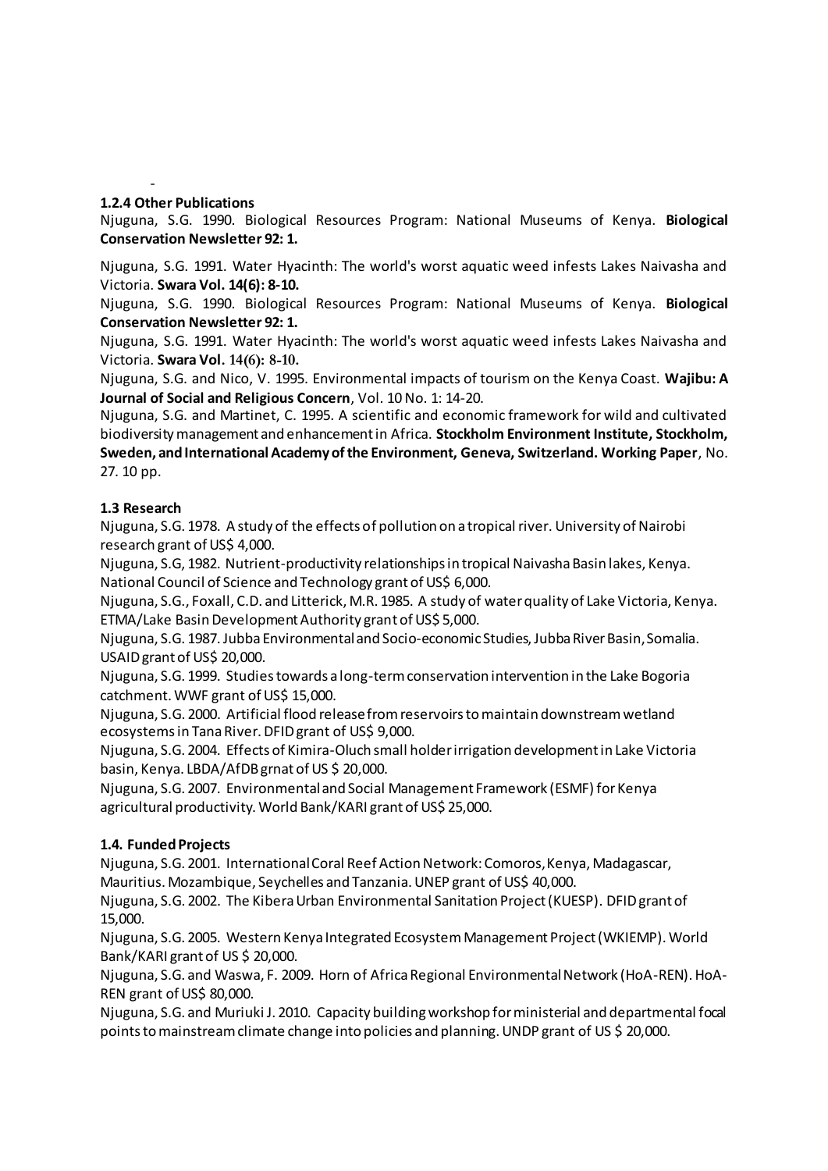#### - **1.2.4 Other Publications**

Njuguna, S.G. 1990. Biological Resources Program: National Museums of Kenya. **Biological Conservation Newsletter 92: 1.**

Njuguna, S.G. 1991. Water Hyacinth: The world's worst aquatic weed infests Lakes Naivasha and Victoria. **Swara Vol. 14(6): 8-10.**

Njuguna, S.G. 1990. Biological Resources Program: National Museums of Kenya. **Biological Conservation Newsletter 92: 1.**

Njuguna, S.G. 1991. Water Hyacinth: The world's worst aquatic weed infests Lakes Naivasha and Victoria. **Swara Vol. 14(6): 8-10.**

Njuguna, S.G. and Nico, V. 1995. Environmental impacts of tourism on the Kenya Coast. **Wajibu: A Journal of Social and Religious Concern**, Vol. 10 No. 1: 14-20.

Njuguna, S.G. and Martinet, C. 1995. A scientific and economic framework for wild and cultivated biodiversity management and enhancement in Africa. **Stockholm Environment Institute, Stockholm, Sweden, and International Academy of the Environment, Geneva, Switzerland. Working Paper**, No. 27. 10 pp.

## **1.3 Research**

Njuguna, S.G. 1978. A study of the effects of pollution on a tropical river. University of Nairobi research grant of US\$ 4,000.

Njuguna, S.G, 1982. Nutrient-productivity relationships in tropical Naivasha Basin lakes, Kenya. National Council of Science and Technology grant of US\$ 6,000.

Njuguna, S.G., Foxall, C.D. and Litterick, M.R. 1985. A study of water quality of Lake Victoria, Kenya. ETMA/Lake Basin Development Authority grant of US\$ 5,000.

Njuguna, S.G. 1987. Jubba Environmental and Socio-economic Studies, Jubba River Basin, Somalia. USAID grant of US\$ 20,000.

Njuguna, S.G. 1999. Studies towards a long-term conservation intervention in the Lake Bogoria catchment. WWF grant of US\$ 15,000.

Njuguna, S.G. 2000. Artificial flood release from reservoirs to maintain downstream wetland ecosystems in Tana River. DFID grant of US\$ 9,000.

Njuguna, S.G. 2004. Effects of Kimira-Oluch small holder irrigation development in Lake Victoria basin, Kenya. LBDA/AfDB grnat of US \$ 20,000.

Njuguna, S.G. 2007. Environmental and Social Management Framework (ESMF) for Kenya agricultural productivity. World Bank/KARI grant of US\$ 25,000.

## **1.4. Funded Projects**

Njuguna, S.G. 2001. International Coral Reef Action Network: Comoros, Kenya, Madagascar, Mauritius. Mozambique, Seychelles and Tanzania. UNEP grant of US\$ 40,000.

Njuguna, S.G. 2002. The Kibera Urban Environmental Sanitation Project (KUESP). DFID grant of 15,000.

Njuguna, S.G. 2005. Western Kenya Integrated Ecosystem Management Project (WKIEMP). World Bank/KARI grant of US \$ 20,000.

Njuguna, S.G. and Waswa, F. 2009. Horn of Africa Regional Environmental Network (HoA-REN). HoA-REN grant of US\$ 80,000.

Njuguna, S.G. and Muriuki J. 2010. Capacity building workshop for ministerial and departmental focal points to mainstream climate change into policies and planning. UNDP grant of US \$ 20,000.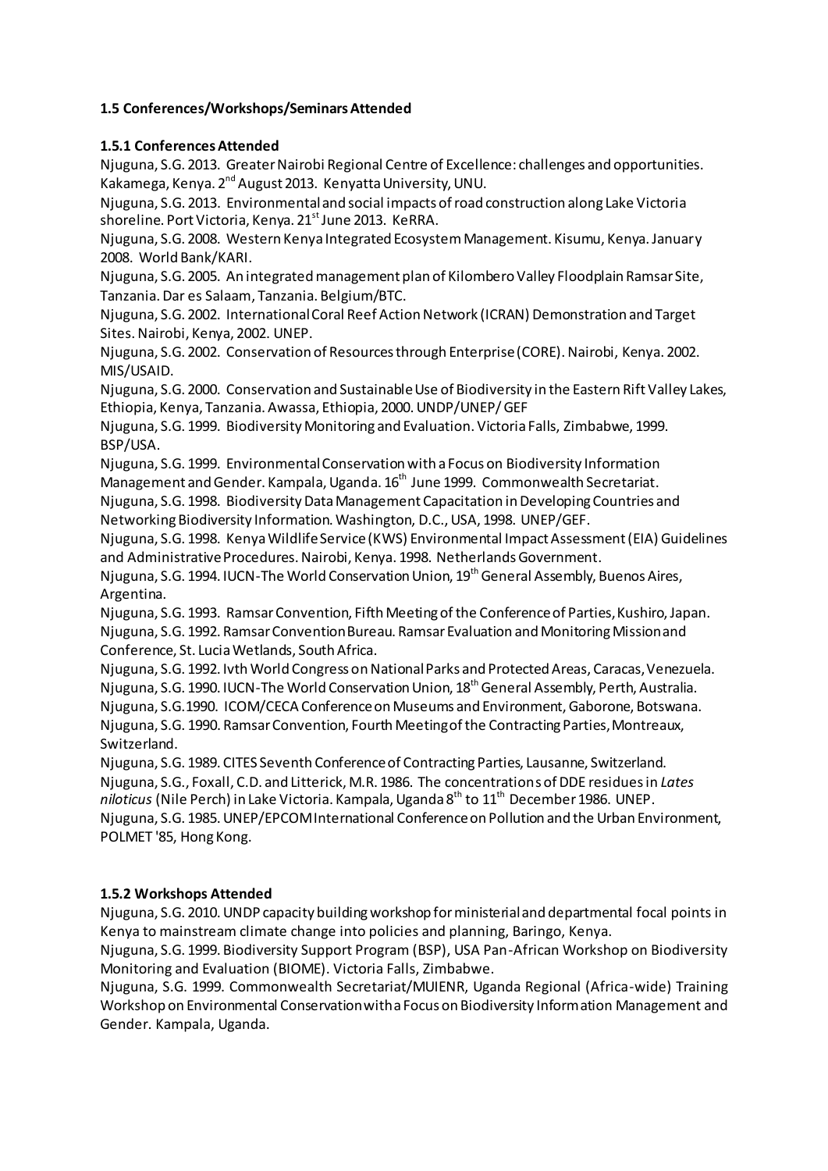# **1.5 Conferences/Workshops/Seminars Attended**

## **1.5.1 Conferences Attended**

Njuguna, S.G. 2013. Greater Nairobi Regional Centre of Excellence: challenges and opportunities. Kakamega, Kenya. 2nd August 2013. Kenyatta University, UNU.

Njuguna, S.G. 2013. Environmental and social impacts of road construction along Lake Victoria shoreline. Port Victoria, Kenya. 21<sup>st</sup> June 2013. KeRRA.

Njuguna, S.G. 2008. Western Kenya Integrated Ecosystem Management. Kisumu, Kenya. January 2008. World Bank/KARI.

Njuguna, S.G. 2005. An integrated management plan of Kilombero Valley Floodplain Ramsar Site, Tanzania. Dar es Salaam, Tanzania. Belgium/BTC.

Njuguna, S.G. 2002. International Coral Reef Action Network (ICRAN) Demonstration and Target Sites. Nairobi, Kenya, 2002. UNEP.

Njuguna, S.G. 2002. Conservation of Resources through Enterprise (CORE). Nairobi, Kenya. 2002. MIS/USAID.

Njuguna, S.G. 2000. Conservation and Sustainable Use of Biodiversity in the Eastern Rift Valley Lakes, Ethiopia, Kenya, Tanzania. Awassa, Ethiopia, 2000. UNDP/UNEP/ GEF

Njuguna, S.G. 1999. Biodiversity Monitoring and Evaluation. Victoria Falls, Zimbabwe, 1999. BSP/USA.

Njuguna, S.G. 1999. Environmental Conservation with a Focus on Biodiversity Information Management and Gender. Kampala, Uganda. 16<sup>th</sup> June 1999. Commonwealth Secretariat.

Njuguna, S.G. 1998. Biodiversity Data Management Capacitation in Developing Countries and Networking Biodiversity Information. Washington, D.C., USA, 1998. UNEP/GEF.

Njuguna, S.G. 1998. Kenya Wildlife Service (KWS) Environmental Impact Assessment (EIA) Guidelines and Administrative Procedures. Nairobi, Kenya. 1998. Netherlands Government.

Njuguna, S.G. 1994. IUCN-The World Conservation Union, 19<sup>th</sup> General Assembly, Buenos Aires, Argentina.

Njuguna, S.G. 1993. Ramsar Convention, Fifth Meeting of the Conference of Parties, Kushiro, Japan. Njuguna, S.G. 1992. Ramsar Convention Bureau. Ramsar Evaluation and Monitoring Mission and Conference, St. Lucia Wetlands, South Africa.

Njuguna, S.G. 1992. Ivth World Congress on National Parks and Protected Areas, Caracas, Venezuela.

Njuguna, S.G. 1990. IUCN-The World Conservation Union, 18<sup>th</sup> General Assembly, Perth, Australia.

Njuguna, S.G.1990. ICOM/CECA Conference on Museums and Environment, Gaborone, Botswana. Njuguna, S.G. 1990. Ramsar Convention, Fourth Meeting of the Contracting Parties, Montreaux, Switzerland.

Njuguna, S.G. 1989. CITES Seventh Conference of Contracting Parties, Lausanne, Switzerland. Njuguna, S.G., Foxall, C.D. and Litterick, M.R. 1986. The concentrations of DDE residues in *Lates niloticus* (Nile Perch) in Lake Victoria. Kampala, Uganda 8<sup>th</sup> to 11<sup>th</sup> December 1986. UNEP. Njuguna, S.G. 1985. UNEP/EPCOM International Conference on Pollution and the Urban Environment, POLMET '85, Hong Kong.

## **1.5.2 Workshops Attended**

Njuguna, S.G. 2010. UNDP capacity building workshop for ministerial and departmental focal points in Kenya to mainstream climate change into policies and planning, Baringo, Kenya.

Njuguna, S.G. 1999. Biodiversity Support Program (BSP), USA Pan-African Workshop on Biodiversity Monitoring and Evaluation (BIOME). Victoria Falls, Zimbabwe.

Njuguna, S.G. 1999. Commonwealth Secretariat/MUIENR, Uganda Regional (Africa-wide) Training Workshop on Environmental Conservation with a Focus on Biodiversity Information Management and Gender. Kampala, Uganda.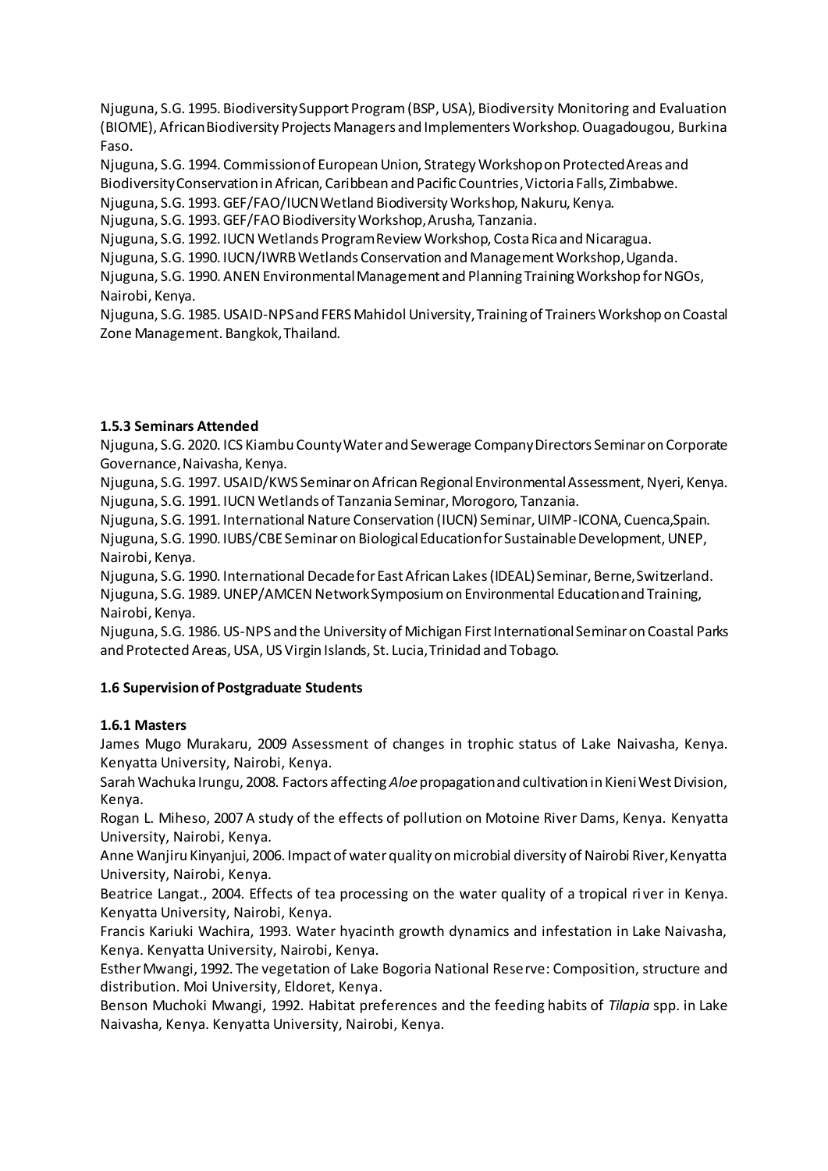Njuguna, S.G. 1995. Biodiversity Support Program (BSP, USA), Biodiversity Monitoring and Evaluation (BIOME), African Biodiversity Projects Managers and Implementers Workshop. Ouagadougou, Burkina Faso.

Njuguna, S.G. 1994. Commission of European Union, Strategy Workshop on Protected Areas and Biodiversity Conservation in African, Caribbean and Pacific Countries, Victoria Falls, Zimbabwe.

Njuguna, S.G. 1993. GEF/FAO/IUCN Wetland Biodiversity Workshop, Nakuru, Kenya.

Njuguna, S.G. 1993. GEF/FAO Biodiversity Workshop, Arusha, Tanzania.

Njuguna, S.G. 1992. IUCN Wetlands Program Review Workshop, Costa Rica and Nicaragua.

Njuguna, S.G. 1990. IUCN/IWRB Wetlands Conservation and Management Workshop, Uganda.

Njuguna, S.G. 1990. ANEN Environmental Management and Planning Training Workshop for NGOs, Nairobi, Kenya.

Njuguna, S.G. 1985. USAID-NPS and FERS Mahidol University, Training of Trainers Workshop on Coastal Zone Management. Bangkok, Thailand.

## **1.5.3 Seminars Attended**

Njuguna, S.G. 2020. ICS Kiambu County Water and Sewerage Company Directors Seminar on Corporate Governance, Naivasha, Kenya.

Njuguna, S.G. 1997. USAID/KWS Seminar on African Regional Environmental Assessment, Nyeri, Kenya. Njuguna, S.G. 1991. IUCN Wetlands of Tanzania Seminar, Morogoro, Tanzania.

Njuguna, S.G. 1991. International Nature Conservation (IUCN) Seminar, UIMP-ICONA, Cuenca,Spain. Njuguna, S.G. 1990. IUBS/CBE Seminar on Biological Education for Sustainable Development, UNEP, Nairobi, Kenya.

Njuguna, S.G. 1990. International Decade for East African Lakes (IDEAL) Seminar, Berne, Switzerland. Njuguna, S.G. 1989. UNEP/AMCEN Network Symposium on Environmental Education and Training, Nairobi, Kenya.

Njuguna, S.G. 1986. US-NPS and the University of Michigan First International Seminar on Coastal Parks and Protected Areas, USA, US Virgin Islands, St. Lucia, Trinidad and Tobago.

## **1.6 Supervision of Postgraduate Students**

## **1.6.1 Masters**

James Mugo Murakaru, 2009 Assessment of changes in trophic status of Lake Naivasha, Kenya. Kenyatta University, Nairobi, Kenya.

Sarah Wachuka Irungu, 2008. Factors affecting *Aloe* propagation and cultivation in Kieni West Division, Kenya.

Rogan L. Miheso, 2007 A study of the effects of pollution on Motoine River Dams, Kenya. Kenyatta University, Nairobi, Kenya.

Anne Wanjiru Kinyanjui, 2006. Impact of water quality on microbial diversity of Nairobi River, Kenyatta University, Nairobi, Kenya.

Beatrice Langat., 2004. Effects of tea processing on the water quality of a tropical river in Kenya. Kenyatta University, Nairobi, Kenya.

Francis Kariuki Wachira, 1993. Water hyacinth growth dynamics and infestation in Lake Naivasha, Kenya. Kenyatta University, Nairobi, Kenya.

Esther Mwangi, 1992. The vegetation of Lake Bogoria National Reserve: Composition, structure and distribution. Moi University, Eldoret, Kenya.

Benson Muchoki Mwangi, 1992. Habitat preferences and the feeding habits of *Tilapia* spp. in Lake Naivasha, Kenya. Kenyatta University, Nairobi, Kenya.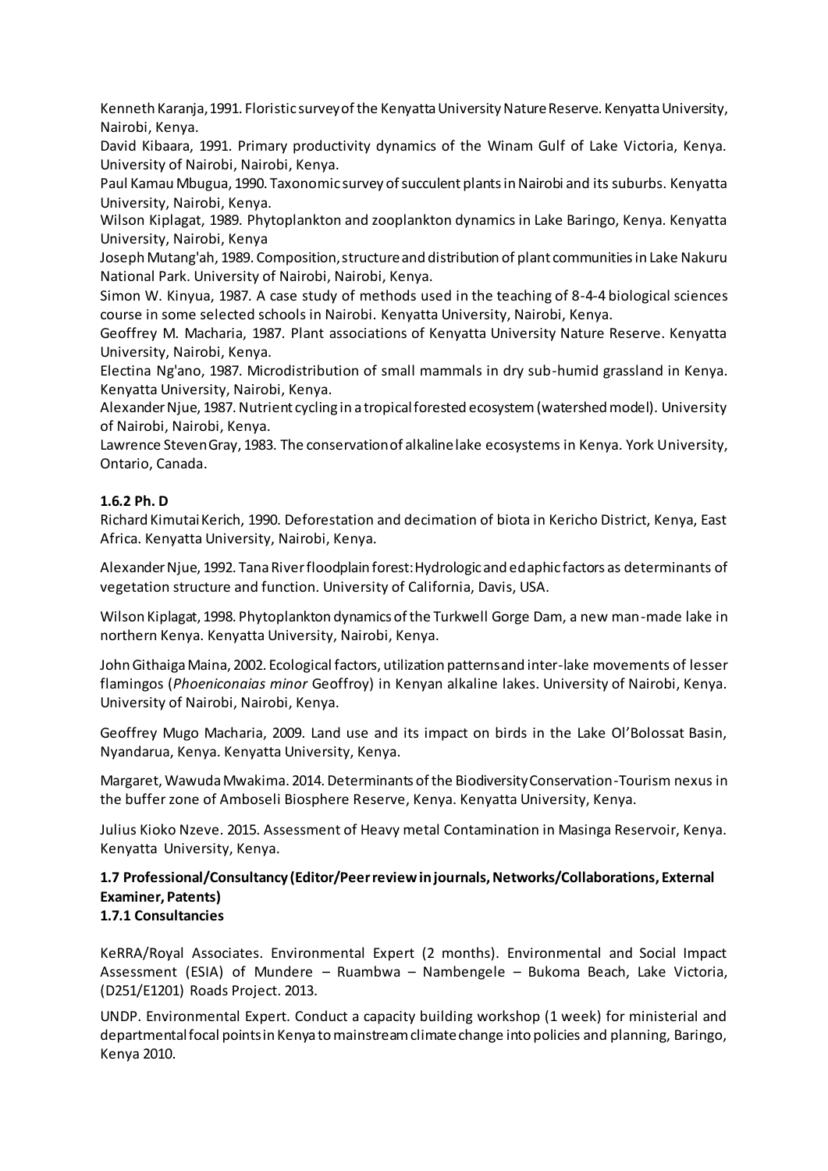Kenneth Karanja, 1991. Floristic survey of the Kenyatta University Nature Reserve. Kenyatta University, Nairobi, Kenya.

David Kibaara, 1991. Primary productivity dynamics of the Winam Gulf of Lake Victoria, Kenya. University of Nairobi, Nairobi, Kenya.

Paul Kamau Mbugua, 1990. Taxonomic survey of succulent plants in Nairobi and its suburbs. Kenyatta University, Nairobi, Kenya.

Wilson Kiplagat, 1989. Phytoplankton and zooplankton dynamics in Lake Baringo, Kenya. Kenyatta University, Nairobi, Kenya

Joseph Mutang'ah, 1989. Composition, structure and distribution of plant communities in Lake Nakuru National Park. University of Nairobi, Nairobi, Kenya.

Simon W. Kinyua, 1987. A case study of methods used in the teaching of 8-4-4 biological sciences course in some selected schools in Nairobi. Kenyatta University, Nairobi, Kenya.

Geoffrey M. Macharia, 1987. Plant associations of Kenyatta University Nature Reserve. Kenyatta University, Nairobi, Kenya.

Electina Ng'ano, 1987. Microdistribution of small mammals in dry sub-humid grassland in Kenya. Kenyatta University, Nairobi, Kenya.

Alexander Njue, 1987. Nutrient cycling in a tropical forested ecosystem (watershed model). University of Nairobi, Nairobi, Kenya.

Lawrence Steven Gray, 1983. The conservation of alkaline lake ecosystems in Kenya. York University, Ontario, Canada.

#### **1.6.2 Ph. D**

Richard Kimutai Kerich, 1990. Deforestation and decimation of biota in Kericho District, Kenya, East Africa. Kenyatta University, Nairobi, Kenya.

Alexander Njue, 1992. Tana River floodplain forest: Hydrologic and edaphic factors as determinants of vegetation structure and function. University of California, Davis, USA.

Wilson Kiplagat, 1998. Phytoplankton dynamics of the Turkwell Gorge Dam, a new man-made lake in northern Kenya. Kenyatta University, Nairobi, Kenya.

John Githaiga Maina, 2002. Ecological factors, utilization patterns and inter-lake movements of lesser flamingos (*Phoeniconaias minor* Geoffroy) in Kenyan alkaline lakes. University of Nairobi, Kenya. University of Nairobi, Nairobi, Kenya.

Geoffrey Mugo Macharia, 2009. Land use and its impact on birds in the Lake Ol'Bolossat Basin, Nyandarua, Kenya. Kenyatta University, Kenya.

Margaret, Wawuda Mwakima. 2014. Determinants of the Biodiversity Conservation-Tourism nexus in the buffer zone of Amboseli Biosphere Reserve, Kenya. Kenyatta University, Kenya.

Julius Kioko Nzeve. 2015. Assessment of Heavy metal Contamination in Masinga Reservoir, Kenya. Kenyatta University, Kenya.

# **1.7 Professional/Consultancy (Editor/Peer review in journals, Networks/Collaborations, External Examiner, Patents)**

## **1.7.1 Consultancies**

KeRRA/Royal Associates. Environmental Expert (2 months). Environmental and Social Impact Assessment (ESIA) of Mundere – Ruambwa – Nambengele – Bukoma Beach, Lake Victoria, (D251/E1201) Roads Project. 2013.

UNDP. Environmental Expert. Conduct a capacity building workshop (1 week) for ministerial and departmental focal points in Kenya to mainstream climate change into policies and planning, Baringo, Kenya 2010.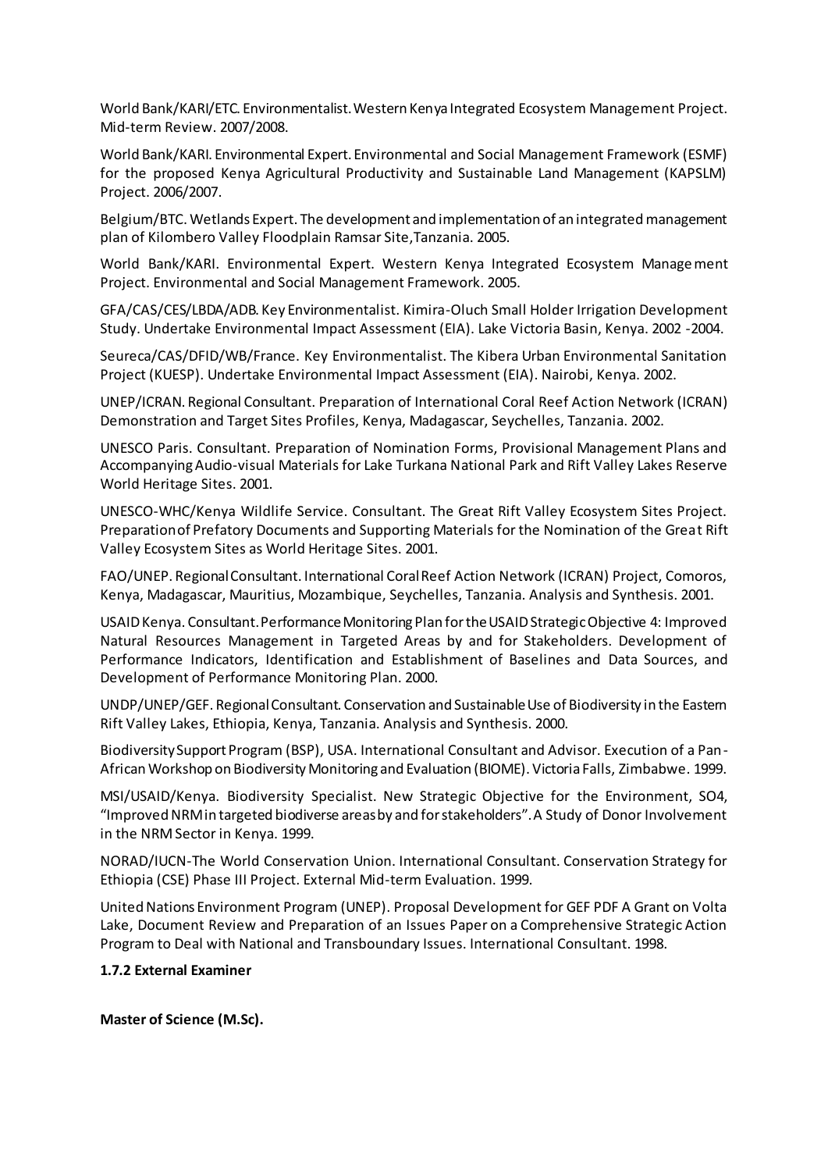World Bank/KARI/ETC. Environmentalist. Western Kenya Integrated Ecosystem Management Project. Mid-term Review. 2007/2008.

World Bank/KARI. Environmental Expert. Environmental and Social Management Framework (ESMF) for the proposed Kenya Agricultural Productivity and Sustainable Land Management (KAPSLM) Project. 2006/2007.

Belgium/BTC. Wetlands Expert. The development and implementation of an integrated management plan of Kilombero Valley Floodplain Ramsar Site,Tanzania. 2005.

World Bank/KARI. Environmental Expert. Western Kenya Integrated Ecosystem Management Project. Environmental and Social Management Framework. 2005.

GFA/CAS/CES/LBDA/ADB. Key Environmentalist. Kimira-Oluch Small Holder Irrigation Development Study. Undertake Environmental Impact Assessment (EIA). Lake Victoria Basin, Kenya. 2002 -2004.

Seureca/CAS/DFID/WB/France. Key Environmentalist. The Kibera Urban Environmental Sanitation Project (KUESP). Undertake Environmental Impact Assessment (EIA). Nairobi, Kenya. 2002.

UNEP/ICRAN. Regional Consultant. Preparation of International Coral Reef Action Network (ICRAN) Demonstration and Target Sites Profiles, Kenya, Madagascar, Seychelles, Tanzania. 2002.

UNESCO Paris. Consultant. Preparation of Nomination Forms, Provisional Management Plans and Accompanying Audio-visual Materials for Lake Turkana National Park and Rift Valley Lakes Reserve World Heritage Sites. 2001.

UNESCO-WHC/Kenya Wildlife Service. Consultant. The Great Rift Valley Ecosystem Sites Project. Preparation of Prefatory Documents and Supporting Materials for the Nomination of the Great Rift Valley Ecosystem Sites as World Heritage Sites. 2001.

FAO/UNEP. Regional Consultant. International Coral Reef Action Network (ICRAN) Project, Comoros, Kenya, Madagascar, Mauritius, Mozambique, Seychelles, Tanzania. Analysis and Synthesis. 2001.

USAID Kenya. Consultant. Performance Monitoring Plan for the USAID Strategic Objective 4: Improved Natural Resources Management in Targeted Areas by and for Stakeholders. Development of Performance Indicators, Identification and Establishment of Baselines and Data Sources, and Development of Performance Monitoring Plan. 2000.

UNDP/UNEP/GEF. Regional Consultant. Conservation and Sustainable Use of Biodiversity in the Eastern Rift Valley Lakes, Ethiopia, Kenya, Tanzania. Analysis and Synthesis. 2000.

BiodiversitySupport Program (BSP), USA. International Consultant and Advisor. Execution of a Pan-African Workshop on Biodiversity Monitoring and Evaluation (BIOME). Victoria Falls, Zimbabwe. 1999.

MSI/USAID/Kenya. Biodiversity Specialist. New Strategic Objective for the Environment, SO4, "Improved NRM in targeted biodiverse areas by and for stakeholders". A Study of Donor Involvement in the NRM Sector in Kenya. 1999.

NORAD/IUCN-The World Conservation Union. International Consultant. Conservation Strategy for Ethiopia (CSE) Phase III Project. External Mid-term Evaluation. 1999.

United Nations Environment Program (UNEP). Proposal Development for GEF PDF A Grant on Volta Lake, Document Review and Preparation of an Issues Paper on a Comprehensive Strategic Action Program to Deal with National and Transboundary Issues. International Consultant. 1998.

#### **1.7.2 External Examiner**

**Master of Science (M.Sc).**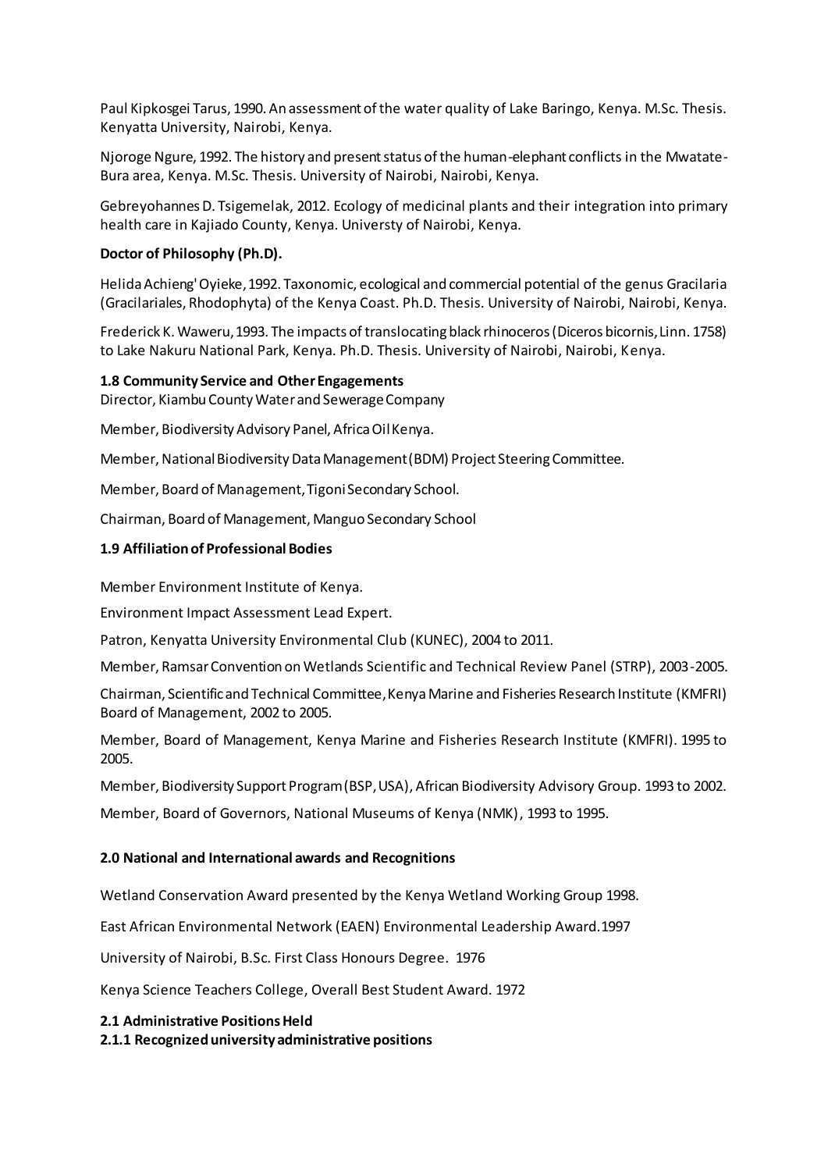Paul Kipkosgei Tarus, 1990. An assessment of the water quality of Lake Baringo, Kenya. M.Sc. Thesis. Kenyatta University, Nairobi, Kenya.

Njoroge Ngure, 1992. The history and present status of the human-elephant conflicts in the Mwatate-Bura area, Kenya. M.Sc. Thesis. University of Nairobi, Nairobi, Kenya.

Gebreyohannes D. Tsigemelak, 2012. Ecology of medicinal plants and their integration into primary health care in Kajiado County, Kenya. Universty of Nairobi, Kenya.

#### **Doctor of Philosophy (Ph.D).**

Helida Achieng' Oyieke, 1992. Taxonomic, ecological and commercial potential of the genus Gracilaria (Gracilariales, Rhodophyta) of the Kenya Coast. Ph.D. Thesis. University of Nairobi, Nairobi, Kenya.

Frederick K. Waweru, 1993. The impacts of translocating black rhinoceros (Diceros bicornis, Linn. 1758) to Lake Nakuru National Park, Kenya. Ph.D. Thesis. University of Nairobi, Nairobi, Kenya.

#### **1.8 Community Service and Other Engagements**

Director, Kiambu County Water and Sewerage Company

Member, Biodiversity Advisory Panel, Africa Oil Kenya.

Member, National Biodiversity Data Management (BDM) Project Steering Committee.

Member, Board of Management, Tigoni Secondary School.

Chairman, Board of Management, Manguo Secondary School

#### **1.9 Affiliation of Professional Bodies**

Member Environment Institute of Kenya.

Environment Impact Assessment Lead Expert.

Patron, Kenyatta University Environmental Club (KUNEC), 2004 to 2011.

Member, Ramsar Convention on Wetlands Scientific and Technical Review Panel (STRP), 2003-2005.

Chairman, Scientific and Technical Committee, Kenya Marine and Fisheries Research Institute (KMFRI) Board of Management, 2002 to 2005.

Member, Board of Management, Kenya Marine and Fisheries Research Institute (KMFRI). 1995 to 2005.

Member, Biodiversity Support Program (BSP, USA), African Biodiversity Advisory Group. 1993 to 2002.

Member, Board of Governors, National Museums of Kenya (NMK), 1993 to 1995.

#### **2.0 National and International awards and Recognitions**

Wetland Conservation Award presented by the Kenya Wetland Working Group 1998.

East African Environmental Network (EAEN) Environmental Leadership Award.1997

University of Nairobi, B.Sc. First Class Honours Degree. 1976

Kenya Science Teachers College, Overall Best Student Award. 1972

#### **2.1 Administrative Positions Held**

**2.1.1 Recognized university administrative positions**